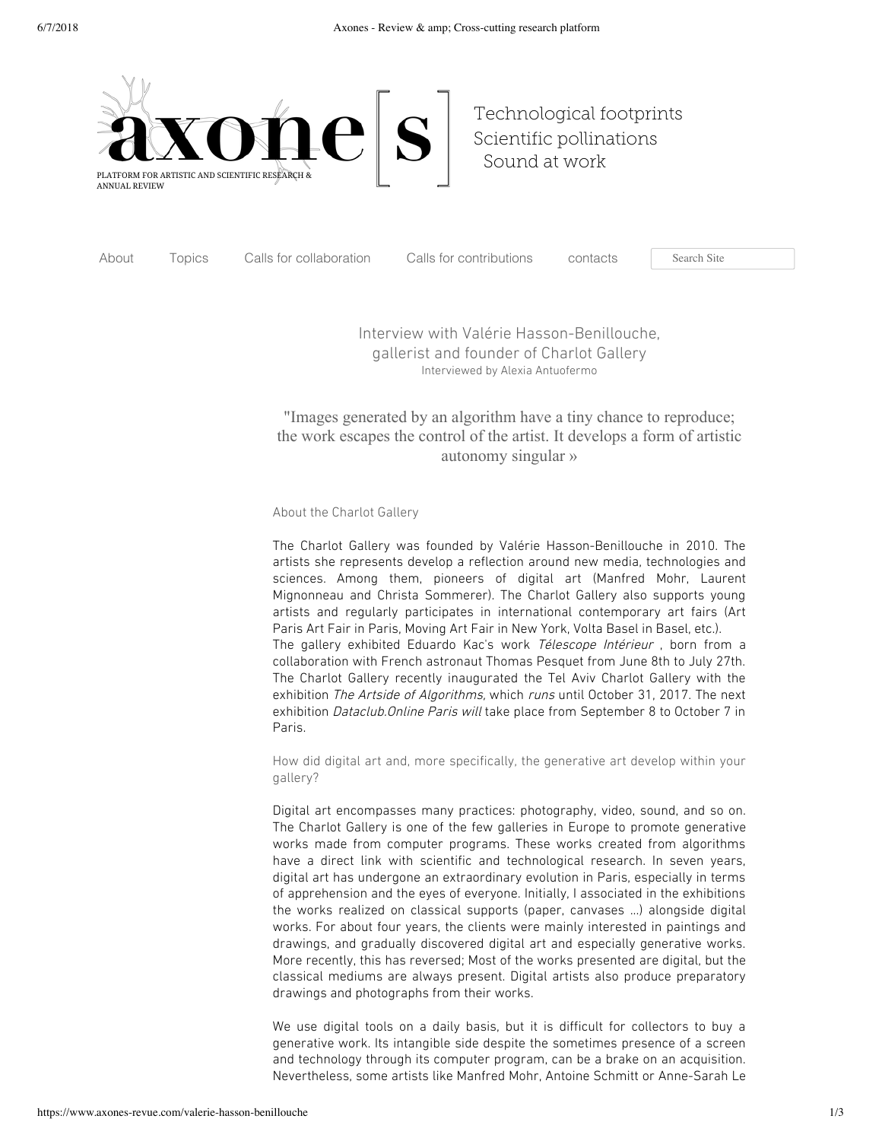

[Technological](https://www.axones-revue.com/arts-technologie) footprints Scientific [pollinations](https://www.axones-revue.com/art-sciences) [Sound](https://www.axones-revue.com/arts-sonores) at work

[About](https://www.axones-revue.com/a-propos) Topics Calls for [collaboration](https://www.axones-revue.com/appels-a-collaboration) Calls for [contributions](https://www.axones-revue.com/contribution) [contacts](https://www.axones-revue.com/contact) Search Site

Interview with Valérie Hasson-Benillouche, gallerist and founder of Charlot Gallery Interviewed by Alexia Antuofermo

## "Images generated by an algorithm have a tiny chance to reproduce; the work escapes the control of the artist. It develops a form of artistic autonomy singular »

## About the Charlot Gallery

The Charlot Gallery was founded by Valérie Hasson-Benillouche in 2010. The artists she represents develop a reflection around new media, technologies and sciences. Among them, pioneers of digital art (Manfred Mohr, Laurent Mignonneau and Christa Sommerer). The Charlot Gallery also supports young artists and regularly participates in international contemporary art fairs (Art Paris Art Fair in Paris, Moving Art Fair in New York, Volta Basel in Basel, etc.). The gallery exhibited Eduardo Kac's work Télescope Intérieur, born from a collaboration with French astronaut Thomas Pesquet from June 8th to July 27th. The Charlot Gallery recently inaugurated the Tel Aviv Charlot Gallery with the exhibition The Artside of Algorithms, which runs until October 31, 2017. The next exhibition Dataclub. Online Paris will take place from September 8 to October 7 in Paris.

How did digital art and, more specifically, the generative art develop within your gallery?

Digital art encompasses many practices: photography, video, sound, and so on. The Charlot Gallery is one of the few galleries in Europe to promote generative works made from computer programs. These works created from algorithms have a direct link with scientific and technological research. In seven years, digital art has undergone an extraordinary evolution in Paris, especially in terms of apprehension and the eyes of everyone. Initially, I associated in the exhibitions the works realized on classical supports (paper, canvases ...) alongside digital works. For about four years, the clients were mainly interested in paintings and drawings, and gradually discovered digital art and especially generative works. More recently, this has reversed; Most of the works presented are digital, but the classical mediums are always present. Digital artists also produce preparatory drawings and photographs from their works.

We use digital tools on a daily basis, but it is difficult for collectors to buy a generative work. Its intangible side despite the sometimes presence of a screen and technology through its computer program, can be a brake on an acquisition. Nevertheless, some artists like Manfred Mohr, Antoine Schmitt or Anne-Sarah Le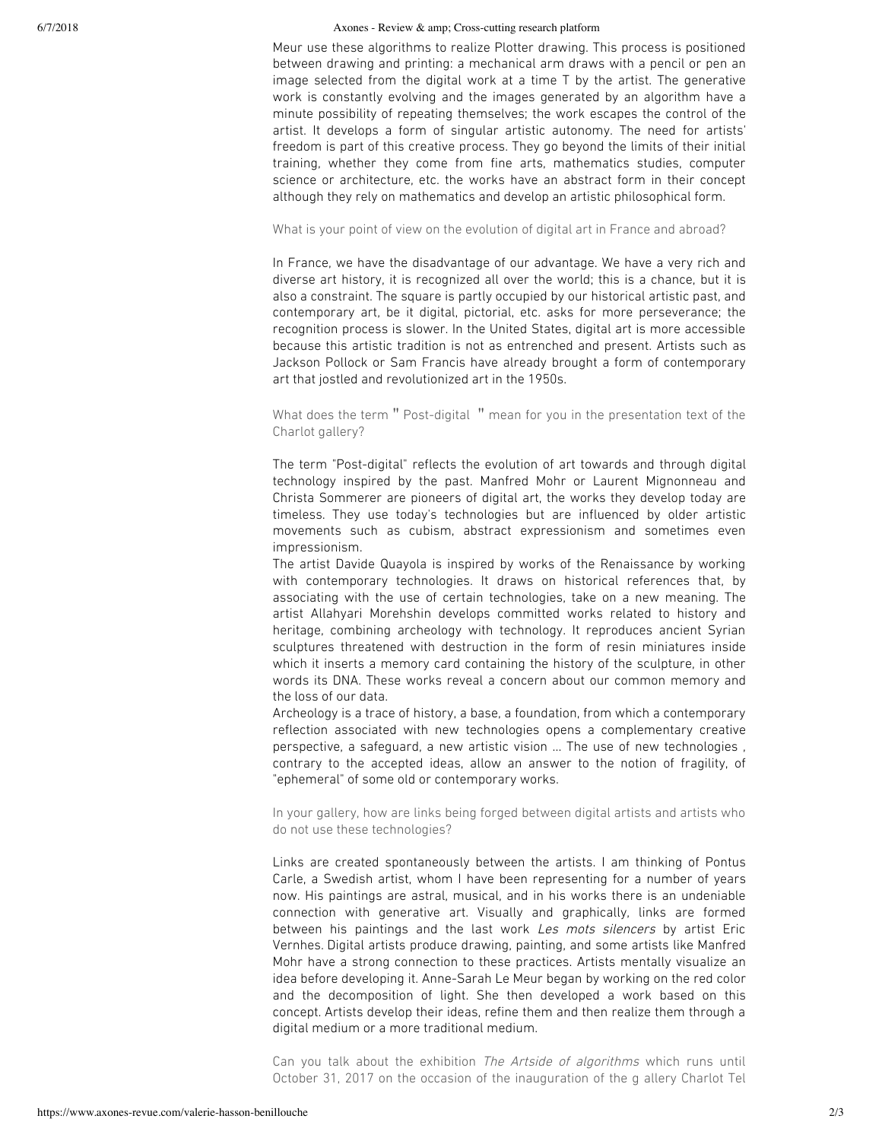## 6/7/2018 Axones - Review & amp; Cross-cutting research platform

Meur use these algorithms to realize Plotter drawing. This process is positioned between drawing and printing: a mechanical arm draws with a pencil or pen an image selected from the digital work at a time T by the artist. The generative work is constantly evolving and the images generated by an algorithm have a minute possibility of repeating themselves; the work escapes the control of the artist. It develops a form of singular artistic autonomy. The need for artists' freedom is part of this creative process. They go beyond the limits of their initial training, whether they come from fine arts, mathematics studies, computer science or architecture, etc. the works have an abstract form in their concept although they rely on mathematics and develop an artistic philosophical form.

## What is your point of view on the evolution of digital art in France and abroad?

In France, we have the disadvantage of our advantage. We have a very rich and diverse art history, it is recognized all over the world; this is a chance, but it is also a constraint. The square is partly occupied by our historical artistic past, and contemporary art, be it digital, pictorial, etc. asks for more perseverance; the recognition process is slower. In the United States, digital art is more accessible because this artistic tradition is not as entrenched and present. Artists such as Jackson Pollock or Sam Francis have already brought a form of contemporary art that jostled and revolutionized art in the 1950s.

What does the term " Post-digital " mean for you in the presentation text of the Charlot gallery?

The term "Post-digital" reflects the evolution of art towards and through digital technology inspired by the past. Manfred Mohr or Laurent Mignonneau and Christa Sommerer are pioneers of digital art, the works they develop today are timeless. They use today's technologies but are influenced by older artistic movements such as cubism, abstract expressionism and sometimes even impressionism.

The artist Davide Quayola is inspired by works of the Renaissance by working with contemporary technologies. It draws on historical references that, by associating with the use of certain technologies, take on a new meaning. The artist Allahyari Morehshin develops committed works related to history and heritage, combining archeology with technology. It reproduces ancient Syrian sculptures threatened with destruction in the form of resin miniatures inside which it inserts a memory card containing the history of the sculpture, in other words its DNA. These works reveal a concern about our common memory and the loss of our data.

Archeology is a trace of history, a base, a foundation, from which a contemporary reflection associated with new technologies opens a complementary creative perspective, a safeguard, a new artistic vision ... The use of new technologies , contrary to the accepted ideas, allow an answer to the notion of fragility, of "ephemeral" of some old or contemporary works.

In your gallery, how are links being forged between digital artists and artists who do not use these technologies?

Links are created spontaneously between the artists. I am thinking of Pontus Carle, a Swedish artist, whom I have been representing for a number of years now. His paintings are astral, musical, and in his works there is an undeniable connection with generative art. Visually and graphically, links are formed between his paintings and the last work Les mots silencers by artist Eric Vernhes. Digital artists produce drawing, painting, and some artists like Manfred Mohr have a strong connection to these practices. Artists mentally visualize an idea before developing it. Anne-Sarah Le Meur began by working on the red color and the decomposition of light. She then developed a work based on this concept. Artists develop their ideas, refine them and then realize them through a digital medium or a more traditional medium.

Can you talk about the exhibition The Artside of algorithms which runs until October 31, 2017 on the occasion of the inauguration of the g allery Charlot Tel